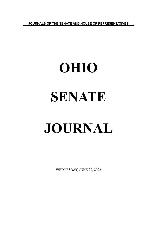**JOURNALS OF THE SENATE AND HOUSE OF REPRESENTATIVES**

# **OHIO SENATE JOURNAL**

WEDNESDAY, JUNE 22, 2022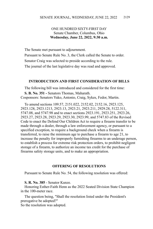# ONE HUNDRED SIXTY-FIRST DAY Senate Chamber, Columbus, Ohio **Wednesday, June 22, 2022, 9:30 a.m.**

The Senate met pursuant to adjournment.

Pursuant to Senate Rule No. 3, the Clerk called the Senate to order. Senator Craig was selected to preside according to the rule. The journal of the last legislative day was read and approved.

### **INTRODUCTION AND FIRST CONSIDERATION OF BILLS**

The following bill was introduced and considered for the first time: **S. B. No. 351 -** Senators Thomas, Maharath. Cosponsors: Senators Yuko, Antonio, Craig, Sykes, Fedor, Martin.

To amend sections 109.57, 2151.022, 2152.02, 2152.16, 2923.125, 2923.128, 2923.1213, 2923.13, 2923.21, 2923.211, 2929.28, 5122.311, 5747.08, and 5747.98 and to enact sections 2923.191, 2923.251, 2923.26, 2923.27, 2923.28, 2923.29, 2923.30, 2923.99, and 5747.83 of the Revised Code to enact the Defend Our Children Act to require a firearm transfer to be made through a dealer, through a law enforcement agency, or pursuant to a specified exception, to require a background check when a firearm is transferred, to raise the minimum age to purchase a firearm to age 21, to increase the penalty for improperly furnishing firearms to an underage person, to establish a process for extreme risk protection orders, to prohibit negligent storage of a firearm, to authorize an income tax credit for the purchase of firearms safety storage units, and to make an appropriation.

## **OFFERING OF RESOLUTIONS**

Pursuant to Senate Rule No. 54, the following resolution was offered:

### **S. R. No. 385** - Senator Kunze.

Honoring Esther-Faith Henn as the 2022 Seated Division State Champion in the 100-meter race.

The question being, "Shall the resolution listed under the President's prerogative be adopted?"

So the resolution was adopted.